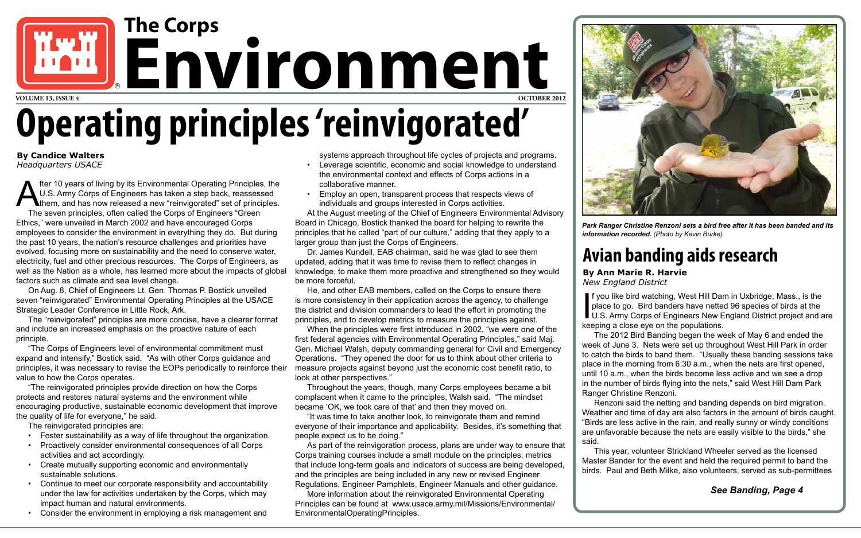fter 10 years of living by its Environmental Operating Principles, the U.S. Army Corps of Engineers has taken a step back, reassessed<br>them, and has now released a new "reinvigorated" set of principles.<br>The seven principles U.S. Army Corps of Engineers has taken a step back, reassessed **them, and has now released a new "reinvigorated" set of principles.** The seven principles, often called the Corps of Engineers "Green Ethics," were unveiled in March 2002 and have encouraged Corps employees to consider the environment in everything they do. But during the past 10 years, the nation's resource challenges and priorities have evolved, focusing more on sustainability and the need to conserve water, electricity, fuel and other precious resources. The Corps of Engineers, as well as the Nation as a whole, has learned more about the impacts of global factors such as climate and sea level change.

On Aug. 8, Chief of Engineers Lt. Gen. Thomas P. Bostick unveiled seven "reinvigorated" Environmental Operating Principles at the USACE Strategic Leader Conference in Little Rock, Ark.

The "reinvigorated" principles are more concise, have a clearer format and include an increased emphasis on the proactive nature of each principle.

- Foster sustainability as a way of life throughout the organization.
- **Proactively consider environmental consequences of all Corps** activities and act accordingly.
- • Create mutually supporting economic and environmentally sustainable solutions.
- Continue to meet our corporate responsibility and accountability under the law for activities undertaken by the Corps, which may impact human and natural environments.
- • Consider the environment in employing a risk management and

"The Corps of Engineers level of environmental commitment must expand and intensify," Bostick said. "As with other Corps guidance and principles, it was necessary to revise the EOPs periodically to reinforce their value to how the Corps operates.

"The reinvigorated principles provide direction on how the Corps protects and restores natural systems and the environment while encouraging productive, sustainable economic development that improve the quality of life for everyone," he said.

The reinvigorated principles are:

# **Operating principles 'reinvigorated' UNITED** Environment

**By Candice Walters** *Headquarters USACE*

systems approach throughout life cycles of projects and programs.

- • Leverage scientific, economic and social knowledge to understand the environmental context and effects of Corps actions in a collaborative manner.
- • Employ an open, transparent process that respects views of individuals and groups interested in Corps activities.

At the August meeting of the Chief of Engineers Environmental Advisory Board in Chicago, Bostick thanked the board for helping to rewrite the principles that he called "part of our culture," adding that they apply to a larger group than just the Corps of Engineers.

Dr. James Kundell, EAB chairman, said he was glad to see them updated, adding that it was time to revise them to reflect changes in knowledge, to make them more proactive and strengthened so they would be more forceful.

He, and other EAB members, called on the Corps to ensure there is more consistency in their application across the agency, to challenge the district and division commanders to lead the effort in promoting the principles, and to develop metrics to measure the principles against.

When the principles were first introduced in 2002, "we were one of the first federal agencies with Environmental Operating Principles," said Maj. Gen. Michael Walsh, deputy commanding general for Civil and Emergency Operations. "They opened the door for us to think about other criteria to measure projects against beyond just the economic cost benefit ratio, to look at other perspectives."

Throughout the years, though, many Corps employees became a bit complacent when it came to the principles, Walsh said. "The mindset became 'OK, we took care of that' and then they moved on.

"It was time to take another look, to reinvigorate them and remind everyone of their importance and applicability. Besides, it's something that people expect us to be doing."

As part of the reinvigoration process, plans are under way to ensure that Corps training courses include a small module on the principles, metrics that include long-term goals and indicators of success are being developed, and the principles are being included in any new or revised Engineer Regulations, Engineer Pamphlets, Engineer Manuals and other guidance.

More information about the reinvigorated Environmental Operating Principles can be found at www.usace.army.mil/Missions/Environmental/ EnvironmentalOperatingPrinciples.



*Park Ranger Christine Renzoni sets a bird free after it has been banded and its information recorded. (Photo by Kevin Burke)*

### **Avian banding aids research**

#### **By Ann Marie R. Harvie**

*New England District*



f you like bird watching, West Hill Dam in Uxbridge, Mass., is the place to go. Bird banders have netted 96 species of birds at the U.S. Army Corps of Engineers New England District project and are keeping a close eye on the populations.

The 2012 Bird Banding began the week of May 6 and ended the week of June 3. Nets were set up throughout West Hill Park in order to catch the birds to band them. "Usually these banding sessions take place in the morning from 6:30 a.m., when the nets are first opened, until 10 a.m., when the birds become less active and we see a drop in the number of birds flying into the nets," said West Hill Dam Park Ranger Christine Renzoni.

Renzoni said the netting and banding depends on bird migration. Weather and time of day are also factors in the amount of birds caught. "Birds are less active in the rain, and really sunny or windy conditions are unfavorable because the nets are easily visible to the birds," she

said.

This year, volunteer Strickland Wheeler served as the licensed Master Bander for the event and held the required permit to band the birds. Paul and Beth Milke, also volunteers, served as sub-permittees

#### *See Banding, Page 4*

**The Corps**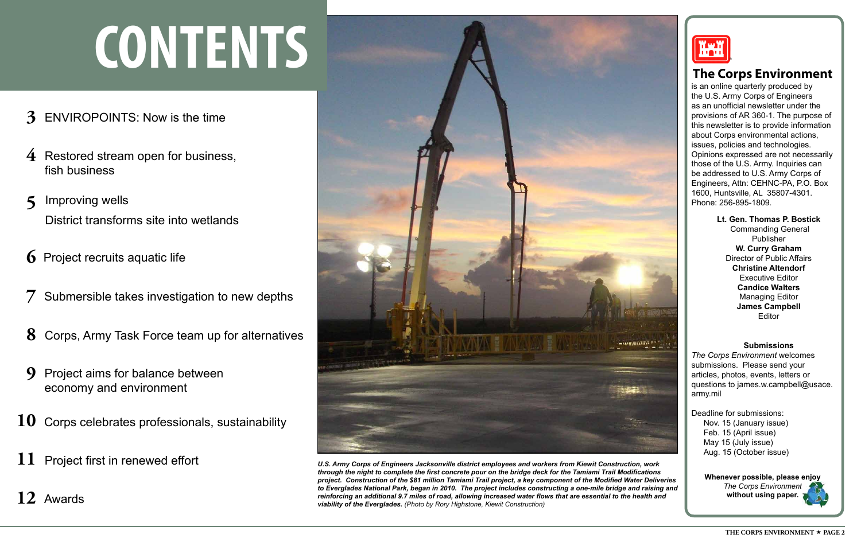#### **Submissions**

*The Corps Environment* welcomes submissions. Please send your articles, photos, events, letters or questions to james.w.campbell@usace. army.mil

Deadline for submissions: Nov. 15 (January issue) Feb. 15 (April issue) May 15 (July issue) Aug. 15 (October issue)

> **Whenever possible, please enjoy**  *The Corps Environment* **without using paper.**

is an online quarterly produced by the U.S. Army Corps of Engineers as an unofficial newsletter under the provisions of AR 360-1. The purpose of this newsletter is to provide information about Corps environmental actions, issues, policies and technologies. Opinions expressed are not necessarily those of the U.S. Army. Inquiries can be addressed to U.S. Army Corps of Engineers, Attn: CEHNC-PA, P.O. Box 1600, Huntsville, AL 35807-4301. Phone: 256-895-1809.

> **Lt. Gen. Thomas P. Bostick** Commanding General Publisher **W. Curry Graham** Director of Public Affairs **Christine Altendorf**  Executive Editor **Candice Walters** Managing Editor **James Campbell** Editor

#### **The Corps Environment**

# **CONTENTS** ®

- **3** ENVIROPOINTS: Now is the time
- 4 Restored stream open for business, fish business
- **5** Improving wells District transforms site into wetlands
- **6** Project recruits aquatic life
- **7** Submersible takes investigation to new depths
- **8** Corps, Army Task Force team up for alternatives
- **9** Project aims for balance between economy and environment
- 10 Corps celebrates professionals, sustainability
- **11** Project first in renewed effort

**12** Awards





*U.S. Army Corps of Engineers Jacksonville district employees and workers from Kiewit Construction, work through the night to complete the first concrete pour on the bridge deck for the Tamiami Trail Modifications project. Construction of the \$81 million Tamiami Trail project, a key component of the Modified Water Deliveries to Everglades National Park, began in 2010. The project includes constructing a one-mile bridge and raising and reinforcing an additional 9.7 miles of road, allowing increased water flows that are essential to the health and viability of the Everglades. (Photo by Rory Highstone, Kiewit Construction)*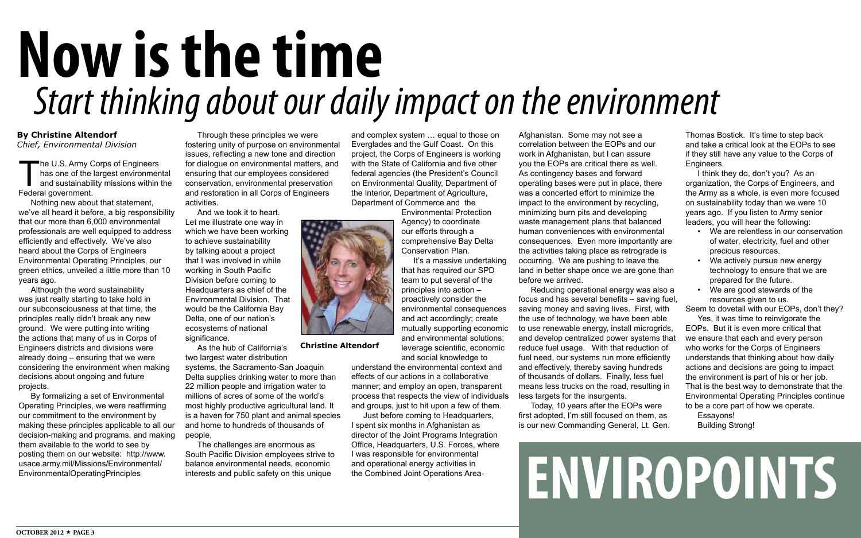# **ENVIROPOINTS**

The U.S. Army Corps of Engineers has one of the largest environmental and sustainability missions within the Federal government.

Nothing new about that statement, we've all heard it before, a big responsibility that our more than 6,000 environmental professionals are well equipped to address efficiently and effectively. We've also heard about the Corps of Engineers Environmental Operating Principles, our green ethics, unveiled a little more than 10 years ago.

Although the word sustainability was just really starting to take hold in our subconsciousness at that time, the principles really didn't break any new ground. We were putting into writing the actions that many of us in Corps of Engineers districts and divisions were already doing – ensuring that we were considering the environment when making decisions about ongoing and future projects.

And we took it to heart. Let me illustrate one way in which we have been working to achieve sustainability by talking about a project that I was involved in while working in South Pacific Division before coming to Headquarters as chief of the Environmental Division. That would be the California Bay Delta, one of our nation's ecosystems of national significance.

By formalizing a set of Environmental Operating Principles, we were reaffirming our commitment to the environment by making these principles applicable to all our decision-making and programs, and making them available to the world to see by posting them on our website: http://www. usace.army.mil/Missions/Environmental/ EnvironmentalOperatingPrinciples

#### **By Christine Altendorf**

*Chief, Environmental Division*

Through these principles we were fostering unity of purpose on environmental issues, reflecting a new tone and direction for dialogue on environmental matters, and ensuring that our employees considered conservation, environmental preservation and restoration in all Corps of Engineers activities.

The challenges are enormous as South Pacific Division employees strive to balance environmental needs, economic interests and public safety on this unique

and complex system … equal to those on Everglades and the Gulf Coast. On this project, the Corps of Engineers is working with the State of California and five other federal agencies (the President's Council on Environmental Quality, Department of the Interior, Department of Agriculture, Department of Commerce and the

- We are relentless in our conservation of water, electricity, fuel and other precious resources.
- We actively pursue new energy technology to ensure that we are prepared for the future.
- We are good stewards of the resources given to us.

Environmental Protection Agency) to coordinate our efforts through a comprehensive Bay Delta Conservation Plan.

It's a massive undertaking that has required our SPD team to put several of the principles into action – proactively consider the environmental consequences and act accordingly; create mutually supporting economic and environmental solutions; leverage scientific, economic

## *Start thinking about our daily impact on the environment* **Now is the time**

and social knowledge to understand the environmental context and effects of our actions in a collaborative manner; and employ an open, transparent process that respects the view of individuals and groups, just to hit upon a few of them.

As the hub of California's two largest water distribution systems, the Sacramento-San Joaquin Delta supplies drinking water to more than 22 million people and irrigation water to millions of acres of some of the world's most highly productive agricultural land. It is a haven for 750 plant and animal species and home to hundreds of thousands of people. **Christine Altendorf**

Just before coming to Headquarters, I spent six months in Afghanistan as director of the Joint Programs Integration Office, Headquarters, U.S. Forces, where I was responsible for environmental and operational energy activities in the Combined Joint Operations Area-

Afghanistan. Some may not see a correlation between the EOPs and our work in Afghanistan, but I can assure you the EOPs are critical there as well. As contingency bases and forward operating bases were put in place, there was a concerted effort to minimize the impact to the environment by recycling, minimizing burn pits and developing waste management plans that balanced human conveniences with environmental consequences. Even more importantly are the activities taking place as retrograde is occurring. We are pushing to leave the land in better shape once we are gone than before we arrived.

Reducing operational energy was also a focus and has several benefits – saving fuel, saving money and saving lives. First, with the use of technology, we have been able to use renewable energy, install microgrids, and develop centralized power systems that reduce fuel usage. With that reduction of fuel need, our systems run more efficiently and effectively, thereby saving hundreds of thousands of dollars. Finally, less fuel means less trucks on the road, resulting in less targets for the insurgents.

Today, 10 years after the EOPs were first adopted, I'm still focused on them, as is our new Commanding General, Lt. Gen.





Thomas Bostick. It's time to step back and take a critical look at the EOPs to see if they still have any value to the Corps of Engineers.

I think they do, don't you? As an organization, the Corps of Engineers, and the Army as a whole, is even more focused on sustainability today than we were 10 years ago. If you listen to Army senior leaders, you will hear the following:

Seem to dovetail with our EOPs, don't they? Yes, it was time to reinvigorate the

EOPs. But it is even more critical that we ensure that each and every person who works for the Corps of Engineers understands that thinking about how daily actions and decisions are going to impact the environment is part of his or her job. That is the best way to demonstrate that the Environmental Operating Principles continue to be a core part of how we operate.

Essayons! Building Strong!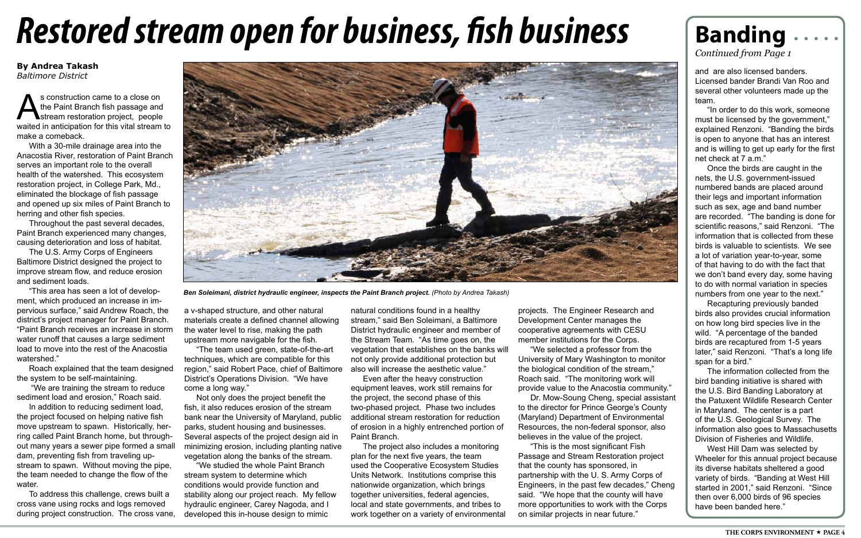## *Restored stream open for business, fish business*

#### **By Andrea Takash** *Baltimore District*

s construction came to a close on<br>the Paint Branch fish passage and<br>stream restoration project, people<br>waited in anticipation for this vital stream the Paint Branch fish passage and **Stream restoration project, people** waited in anticipation for this vital stream to make a comeback.

With a 30-mile drainage area into the Anacostia River, restoration of Paint Branch serves an important role to the overall health of the watershed. This ecosystem restoration project, in College Park, Md., eliminated the blockage of fish passage and opened up six miles of Paint Branch to herring and other fish species.

"This area has seen a lot of development, which produced an increase in impervious surface," said Andrew Roach, the district's project manager for Paint Branch. "Paint Branch receives an increase in storm water runoff that causes a large sediment load to move into the rest of the Anacostia watershed."

Throughout the past several decades, Paint Branch experienced many changes, causing deterioration and loss of habitat.

The U.S. Army Corps of Engineers Baltimore District designed the project to improve stream flow, and reduce erosion and sediment loads.

Roach explained that the team designed the system to be self-maintaining.

 "We are training the stream to reduce sediment load and erosion," Roach said.

In addition to reducing sediment load, the project focused on helping native fish move upstream to spawn. Historically, herring called Paint Branch home, but throughout many years a sewer pipe formed a small dam, preventing fish from traveling upstream to spawn. Without moving the pipe, the team needed to change the flow of the water.

To address this challenge, crews built a cross vane using rocks and logs removed during project construction. The cross vane, a v-shaped structure, and other natural materials create a defined channel allowing the water level to rise, making the path upstream more navigable for the fish.

"The team used green, state-of-the-art techniques, which are compatible for this region," said Robert Pace, chief of Baltimore also will increase the aesthetic value." District's Operations Division. "We have come a long way."

Not only does the project benefit the fish, it also reduces erosion of the stream bank near the University of Maryland, public parks, student housing and businesses. Several aspects of the project design aid in minimizing erosion, including planting native vegetation along the banks of the stream.

"We studied the whole Paint Branch stream system to determine which conditions would provide function and stability along our project reach. My fellow hydraulic engineer, Carey Nagoda, and I developed this in-house design to mimic

natural conditions found in a healthy stream," said Ben Soleimani, a Baltimore District hydraulic engineer and member of the Stream Team. "As time goes on, the vegetation that establishes on the banks will not only provide additional protection but

Even after the heavy construction equipment leaves, work still remains for the project, the second phase of this two-phased project. Phase two includes additional stream restoration for reduction of erosion in a highly entrenched portion of Paint Branch.

The project also includes a monitoring plan for the next five years, the team used the Cooperative Ecosystem Studies Units Network. Institutions comprise this nationwide organization, which brings together universities, federal agencies, local and state governments, and tribes to work together on a variety of environmental

### **Banding**

and are also licensed banders. Licensed bander Brandi Van Roo and several other volunteers made up the team.

"In order to do this work, someone must be licensed by the government," explained Renzoni. "Banding the birds is open to anyone that has an interest and is willing to get up early for the first net check at 7 a.m."

Once the birds are caught in the nets, the U.S. government-issued numbered bands are placed around their legs and important information such as sex, age and band number are recorded. "The banding is done for scientific reasons," said Renzoni. "The information that is collected from these birds is valuable to scientists. We see a lot of variation year-to-year, some of that having to do with the fact that we don't band every day, some having to do with normal variation in species numbers from one year to the next."

Recapturing previously banded birds also provides crucial information on how long bird species live in the wild. "A percentage of the banded birds are recaptured from 1-5 years later," said Renzoni. "That's a long life span for a bird."

The information collected from the bird banding initiative is shared with the U.S. Bird Banding Laboratory at the Patuxent Wildlife Research Center in Maryland. The center is a part of the U.S. Geological Survey. The information also goes to Massachusetts Division of Fisheries and Wildlife.

West Hill Dam was selected by Wheeler for this annual project because its diverse habitats sheltered a good variety of birds. "Banding at West Hill started in 2001," said Renzoni. "Since then over 6,000 birds of 96 species have been banded here."

*Continued from Page 1*



*Ben Soleimani, district hydraulic engineer, inspects the Paint Branch project. (Photo by Andrea Takash)*

projects. The Engineer Research and Development Center manages the cooperative agreements with CESU member institutions for the Corps. "We selected a professor from the University of Mary Washington to monitor the biological condition of the stream," Roach said. "The monitoring work will provide value to the Anacostia community." Dr. Mow-Soung Cheng, special assistant to the director for Prince George's County (Maryland) Department of Environmental Resources, the non-federal sponsor, also believes in the value of the project. "This is the most significant Fish Passage and Stream Restoration project that the county has sponsored, in partnership with the U. S. Army Corps of Engineers, in the past few decades," Cheng said. "We hope that the county will have more opportunities to work with the Corps on similar projects in near future."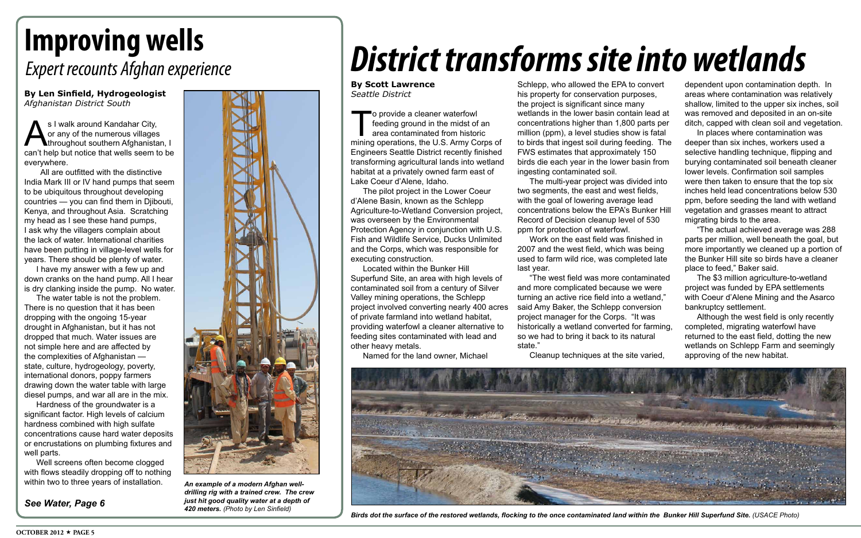To provide a cleaner waterfowl<br>feeding ground in the midst of<br>area contaminated from histor<br>mining operations, the U.S. Army Co feeding ground in the midst of an area contaminated from historic mining operations, the U.S. Army Corps of Engineers Seattle District recently finished transforming agricultural lands into wetland habitat at a privately owned farm east of Lake Coeur d'Alene, Idaho.

The pilot project in the Lower Coeur d'Alene Basin, known as the Schlepp Agriculture-to-Wetland Conversion project, was overseen by the Environmental Protection Agency in conjunction with U.S. Fish and Wildlife Service, Ducks Unlimited and the Corps, which was responsible for executing construction.

Located within the Bunker Hill Superfund Site, an area with high levels of contaminated soil from a century of Silver Valley mining operations, the Schlepp project involved converting nearly 400 acres of private farmland into wetland habitat, providing waterfowl a cleaner alternative to feeding sites contaminated with lead and other heavy metals.

Named for the land owner, Michael

Schlepp, who allowed the EPA to convert his property for conservation purposes, the project is significant since many wetlands in the lower basin contain lead at concentrations higher than 1,800 parts per million (ppm), a level studies show is fatal to birds that ingest soil during feeding. The FWS estimates that approximately 150 birds die each year in the lower basin from ingesting contaminated soil.

The multi-year project was divided into two segments, the east and west fields, with the goal of lowering average lead concentrations below the EPA's Bunker Hill Record of Decision cleanup level of 530 ppm for protection of waterfowl.

Work on the east field was finished in 2007 and the west field, which was being used to farm wild rice, was completed late last year.

s I walk around Kandahar City,<br>or any of the numerous villages<br>can't help but notice that wells seem to or any of the numerous villages throughout southern Afghanistan, I can't help but notice that wells seem to be everywhere.

> "The west field was more contaminated and more complicated because we were turning an active rice field into a wetland," said Amy Baker, the Schlepp conversion project manager for the Corps. "It was historically a wetland converted for farming, so we had to bring it back to its natural state."

Cleanup techniques at the site varied,



**Birds dot the surface of the restored wetlands, flocking to the once contaminated land within the Bunker Hill Superfund Site. (USACE Photo)** 

**By Scott Lawrence** *Seattle District*

dependent upon contamination depth. In areas where contamination was relatively shallow, limited to the upper six inches, soil was removed and deposited in an on-site ditch, capped with clean soil and vegetation.

In places where contamination was deeper than six inches, workers used a selective handling technique, flipping and burying contaminated soil beneath cleaner lower levels. Confirmation soil samples were then taken to ensure that the top six inches held lead concentrations below 530 ppm, before seeding the land with wetland vegetation and grasses meant to attract migrating birds to the area.

"The actual achieved average was 288 parts per million, well beneath the goal, but more importantly we cleaned up a portion of the Bunker Hill site so birds have a cleaner place to feed," Baker said.

The \$3 million agriculture-to-wetland project was funded by EPA settlements with Coeur d'Alene Mining and the Asarco bankruptcy settlement.

Although the west field is only recently completed, migrating waterfowl have returned to the east field, dotting the new wetlands on Schlepp Farm and seemingly approving of the new habitat.

## *District transforms site into wetlands*

### *Expert recounts Afghan experience*

### **Improving wells**

**By Len Sinfield, Hydrogeologist** *Afghanistan District South*

 All are outfitted with the distinctive India Mark III or IV hand pumps that seem to be ubiquitous throughout developing countries — you can find them in Djibouti, Kenya, and throughout Asia. Scratching my head as I see these hand pumps, I ask why the villagers complain about the lack of water. International charities have been putting in village-level wells for years. There should be plenty of water.

I have my answer with a few up and down cranks on the hand pump. All I hear is dry clanking inside the pump. No water.

The water table is not the problem. There is no question that it has been dropping with the ongoing 15-year drought in Afghanistan, but it has not dropped that much. Water issues are not simple here and are affected by the complexities of Afghanistan state, culture, hydrogeology, poverty, international donors, poppy farmers drawing down the water table with large diesel pumps, and war all are in the mix.

Hardness of the groundwater is a significant factor. High levels of calcium hardness combined with high sulfate concentrations cause hard water deposits or encrustations on plumbing fixtures and well parts.

Well screens often become clogged with flows steadily dropping off to nothing within two to three years of installation.





*An example of a modern Afghan welldrilling rig with a trained crew. The crew just hit good quality water at a depth of 420 meters. (Photo by Len Sinfield)*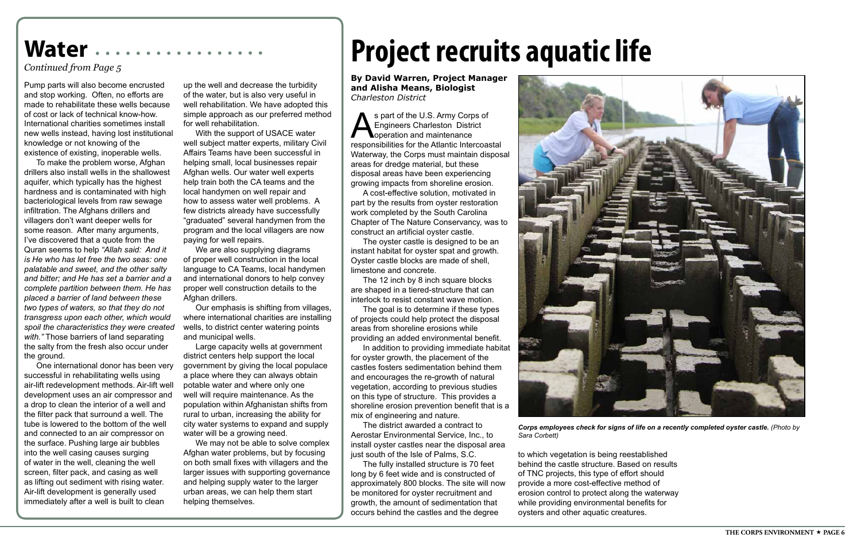*Corps employees check for signs of life on a recently completed oyster castle. (Photo by* 



*Sara Corbett)* 

s part of the U.S. Army Corps of<br>Engineers Charleston District<br>responsibilities for the Atlantic Intercoas Engineers Charleston District **Noperation and maintenance** responsibilities for the Atlantic Intercoastal Waterway, the Corps must maintain disposal areas for dredge material, but these disposal areas have been experiencing growing impacts from shoreline erosion.

A cost-effective solution, motivated in part by the results from oyster restoration work completed by the South Carolina Chapter of The Nature Conservancy, was to construct an artificial oyster castle.

The oyster castle is designed to be an instant habitat for oyster spat and growth. Oyster castle blocks are made of shell, limestone and concrete.

The 12 inch by 8 inch square blocks are shaped in a tiered-structure that can interlock to resist constant wave motion.

The goal is to determine if these types of projects could help protect the disposal areas from shoreline erosions while providing an added environmental benefit.

In addition to providing immediate habitat for oyster growth, the placement of the castles fosters sedimentation behind them and encourages the re-growth of natural vegetation, according to previous studies on this type of structure. This provides a shoreline erosion prevention benefit that is a mix of engineering and nature.

The district awarded a contract to Aerostar Environmental Service, Inc., to install oyster castles near the disposal area just south of the Isle of Palms, S.C.

The fully installed structure is 70 feet long by 6 feet wide and is constructed of approximately 800 blocks. The site will now be monitored for oyster recruitment and growth, the amount of sedimentation that occurs behind the castles and the degree

to which vegetation is being reestablished behind the castle structure. Based on results of TNC projects, this type of effort should provide a more cost-effective method of erosion control to protect along the waterway while providing environmental benefits for oysters and other aquatic creatures.

**By David Warren, Project Manager and Alisha Means, Biologist** *Charleston District*

Pump parts will also become encrusted and stop working. Often, no efforts are made to rehabilitate these wells because of cost or lack of technical know-how. International charities sometimes install new wells instead, having lost institutional knowledge or not knowing of the existence of existing, inoperable wells.

> We are also supplying diagrams of proper well construction in the local language to CA Teams, local handymen and international donors to help convey proper well construction details to the Afghan drillers.

To make the problem worse, Afghan drillers also install wells in the shallowest aquifer, which typically has the highest hardness and is contaminated with high bacteriological levels from raw sewage infiltration. The Afghans drillers and villagers don't want deeper wells for some reason. After many arguments, I've discovered that a quote from the Quran seems to help *"Allah said: And it is He who has let free the two seas: one palatable and sweet, and the other salty and bitter; and He has set a barrier and a complete partition between them. He has placed a barrier of land between these two types of waters, so that they do not transgress upon each other, which would spoil the characteristics they were created with."* Those barriers of land separating the salty from the fresh also occur under the ground.

One international donor has been very successful in rehabilitating wells using air-lift redevelopment methods. Air-lift well development uses an air compressor and a drop to clean the interior of a well and the filter pack that surround a well. The tube is lowered to the bottom of the well and connected to an air compressor on the surface. Pushing large air bubbles into the well casing causes surging of water in the well, cleaning the well screen, filter pack, and casing as well as lifting out sediment with rising water. Air-lift development is generally used immediately after a well is built to clean

up the well and decrease the turbidity of the water, but is also very useful in well rehabilitation. We have adopted this simple approach as our preferred method for well rehabilitation.

With the support of USACE water well subject matter experts, military Civil Affairs Teams have been successful in helping small, local businesses repair Afghan wells. Our water well experts help train both the CA teams and the local handymen on well repair and how to assess water well problems. A few districts already have successfully "graduated" several handymen from the program and the local villagers are now paying for well repairs.

Our emphasis is shifting from villages, where international charities are installing wells, to district center watering points and municipal wells.

Large capacity wells at government district centers help support the local government by giving the local populace a place where they can always obtain potable water and where only one well will require maintenance. As the population within Afghanistan shifts from rural to urban, increasing the ability for city water systems to expand and supply water will be a growing need.

We may not be able to solve complex Afghan water problems, but by focusing on both small fixes with villagers and the larger issues with supporting governance and helping supply water to the larger urban areas, we can help them start helping themselves.

## Water *Continued from Page 5* **Project recruits aquatic life**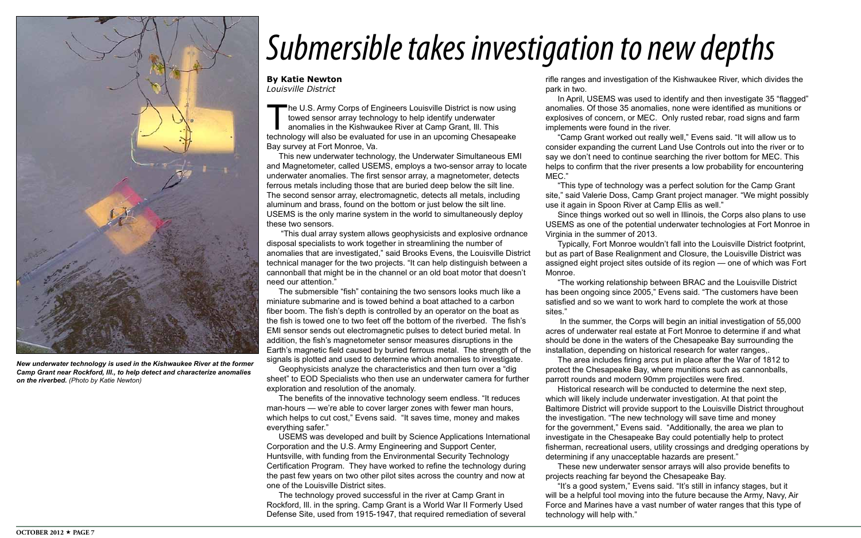The U.S. Army Corps of Engineers Louisville District is now using towed sensor array technology to help identify underwater anomalies in the Kishwaukee River at Camp Grant, Ill. This technology will also be evaluated for use in an upcoming Chesapeake Bay survey at Fort Monroe, Va.

This new underwater technology, the Underwater Simultaneous EMI and Magnetometer, called USEMS, employs a two-sensor array to locate underwater anomalies. The first sensor array, a magnetometer, detects ferrous metals including those that are buried deep below the silt line. The second sensor array, electromagnetic, detects all metals, including aluminum and brass, found on the bottom or just below the silt line. USEMS is the only marine system in the world to simultaneously deploy these two sensors.

 "This dual array system allows geophysicists and explosive ordnance disposal specialists to work together in streamlining the number of anomalies that are investigated," said Brooks Evens, the Louisville District technical manager for the two projects. "It can help distinguish between a cannonball that might be in the channel or an old boat motor that doesn't need our attention."

The submersible "fish" containing the two sensors looks much like a miniature submarine and is towed behind a boat attached to a carbon fiber boom. The fish's depth is controlled by an operator on the boat as the fish is towed one to two feet off the bottom of the riverbed. The fish's EMI sensor sends out electromagnetic pulses to detect buried metal. In addition, the fish's magnetometer sensor measures disruptions in the Earth's magnetic field caused by buried ferrous metal. The strength of the signals is plotted and used to determine which anomalies to investigate.

Geophysicists analyze the characteristics and then turn over a "dig sheet" to EOD Specialists who then use an underwater camera for further exploration and resolution of the anomaly.

The benefits of the innovative technology seem endless. "It reduces man-hours — we're able to cover larger zones with fewer man hours, which helps to cut cost," Evens said. "It saves time, money and makes everything safer."

USEMS was developed and built by Science Applications International Corporation and the U.S. Army Engineering and Support Center, Huntsville, with funding from the Environmental Security Technology Certification Program. They have worked to refine the technology during the past few years on two other pilot sites across the country and now at one of the Louisville District sites.

The technology proved successful in the river at Camp Grant in Rockford, Ill. in the spring. Camp Grant is a World War II Formerly Used Defense Site, used from 1915-1947, that required remediation of several rifle ranges and investigation of the Kishwaukee River, which divides the

park in two.

In April, USEMS was used to identify and then investigate 35 "flagged" anomalies. Of those 35 anomalies, none were identified as munitions or explosives of concern, or MEC. Only rusted rebar, road signs and farm implements were found in the river.

"Camp Grant worked out really well," Evens said. "It will allow us to consider expanding the current Land Use Controls out into the river or to say we don't need to continue searching the river bottom for MEC. This helps to confirm that the river presents a low probability for encountering MEC."

"This type of technology was a perfect solution for the Camp Grant site," said Valerie Doss, Camp Grant project manager. "We might possibly use it again in Spoon River at Camp Ellis as well."

Since things worked out so well in Illinois, the Corps also plans to use USEMS as one of the potential underwater technologies at Fort Monroe in Virginia in the summer of 2013.

Typically, Fort Monroe wouldn't fall into the Louisville District footprint, but as part of Base Realignment and Closure, the Louisville District was assigned eight project sites outside of its region — one of which was Fort Monroe.

"The working relationship between BRAC and the Louisville District has been ongoing since 2005," Evens said. "The customers have been satisfied and so we want to work hard to complete the work at those sites."

 In the summer, the Corps will begin an initial investigation of 55,000 acres of underwater real estate at Fort Monroe to determine if and what should be done in the waters of the Chesapeake Bay surrounding the installation, depending on historical research for water ranges,. The area includes firing arcs put in place after the War of 1812 to protect the Chesapeake Bay, where munitions such as cannonballs, parrott rounds and modern 90mm projectiles were fired.

Historical research will be conducted to determine the next step, which will likely include underwater investigation. At that point the Baltimore District will provide support to the Louisville District throughout the investigation. "The new technology will save time and money for the government," Evens said. "Additionally, the area we plan to investigate in the Chesapeake Bay could potentially help to protect fisherman, recreational users, utility crossings and dredging operations by determining if any unacceptable hazards are present."

These new underwater sensor arrays will also provide benefits to projects reaching far beyond the Chesapeake Bay.

"It's a good system," Evens said. "It's still in infancy stages, but it will be a helpful tool moving into the future because the Army, Navy, Air Force and Marines have a vast number of water ranges that this type of

technology will help with."

#### **By Katie Newton**

*Louisville District*

## *Submersible takes investigation to new depths*



*New underwater technology is used in the Kishwaukee River at the former Camp Grant near Rockford, Ill., to help detect and characterize anomalies on the riverbed. (Photo by Katie Newton)*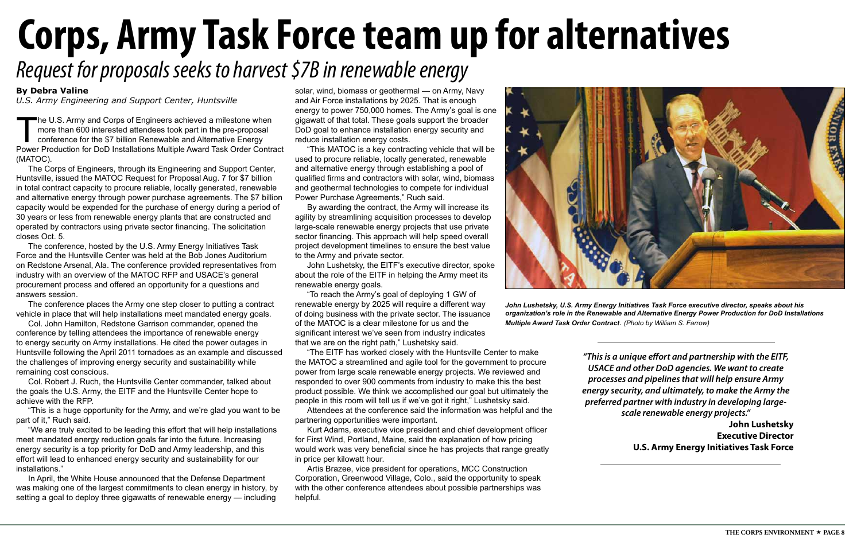The U.S. Army and Corps of Engineers achieved a milestone when more than 600 interested attendees took part in the pre-proposal conference for the \$7 billion Renewable and Alternative Energy Power Production for DoD Installations Multiple Award Task Order Contract (MATOC).

The Corps of Engineers, through its Engineering and Support Center, Huntsville, issued the MATOC Request for Proposal Aug. 7 for \$7 billion in total contract capacity to procure reliable, locally generated, renewable and alternative energy through power purchase agreements. The \$7 billion capacity would be expended for the purchase of energy during a period of 30 years or less from renewable energy plants that are constructed and operated by contractors using private sector financing. The solicitation closes Oct. 5.

The conference, hosted by the U.S. Army Energy Initiatives Task Force and the Huntsville Center was held at the Bob Jones Auditorium on Redstone Arsenal, Ala. The conference provided representatives from industry with an overview of the MATOC RFP and USACE's general procurement process and offered an opportunity for a questions and answers session.

The conference places the Army one step closer to putting a contract vehicle in place that will help installations meet mandated energy goals.

Col. John Hamilton, Redstone Garrison commander, opened the conference by telling attendees the importance of renewable energy to energy security on Army installations. He cited the power outages in Huntsville following the April 2011 tornadoes as an example and discussed the challenges of improving energy security and sustainability while remaining cost conscious.

Col. Robert J. Ruch, the Huntsville Center commander, talked about the goals the U.S. Army, the EITF and the Huntsville Center hope to achieve with the RFP.

"This is a huge opportunity for the Army, and we're glad you want to be part of it," Ruch said.

"We are truly excited to be leading this effort that will help installations meet mandated energy reduction goals far into the future. Increasing energy security is a top priority for DoD and Army leadership, and this effort will lead to enhanced energy security and sustainability for our installations."

In April, the White House announced that the Defense Department was making one of the largest commitments to clean energy in history, by setting a goal to deploy three gigawatts of renewable energy — including

## **Corps, Army Task Force team up for alternatives** *Request for proposals seeks to harvest \$7B in renewable energy*

solar, wind, biomass or geothermal — on Army, Navy and Air Force installations by 2025. That is enough energy to power 750,000 homes. The Army's goal is one gigawatt of that total. These goals support the broader DoD goal to enhance installation energy security and reduce installation energy costs.

"This MATOC is a key contracting vehicle that will be used to procure reliable, locally generated, renewable and alternative energy through establishing a pool of qualified firms and contractors with solar, wind, biomass and geothermal technologies to compete for individual Power Purchase Agreements," Ruch said.

By awarding the contract, the Army will increase its agility by streamlining acquisition processes to develop large-scale renewable energy projects that use private sector financing. This approach will help speed overall project development timelines to ensure the best value to the Army and private sector.

John Lushetsky, the EITF's executive director, spoke about the role of the EITF in helping the Army meet its renewable energy goals.

"To reach the Army's goal of deploying 1 GW of renewable energy by 2025 will require a different way of doing business with the private sector. The issuance of the MATOC is a clear milestone for us and the significant interest we've seen from industry indicates that we are on the right path," Lushetsky said.

"The EITF has worked closely with the Huntsville Center to make the MATOC a streamlined and agile tool for the government to procure power from large scale renewable energy projects. We reviewed and responded to over 900 comments from industry to make this the best product possible. We think we accomplished our goal but ultimately the people in this room will tell us if we've got it right," Lushetsky said.

Attendees at the conference said the information was helpful and the partnering opportunities were important.

Kurt Adams, executive vice president and chief development officer for First Wind, Portland, Maine, said the explanation of how pricing would work was very beneficial since he has projects that range greatly in price per kilowatt hour.

Artis Brazee, vice president for operations, MCC Construction Corporation, Greenwood Village, Colo., said the opportunity to speak with the other conference attendees about possible partnerships was helpful.



#### **By Debra Valine**

*U.S. Army Engineering and Support Center, Huntsville*

*John Lushetsky, U.S. Army Energy Initiatives Task Force executive director, speaks about his organization's role in the Renewable and Alternative Energy Power Production for DoD Installations Multiple Award Task Order Contract*. *(Photo by William S. Farrow)*

*"This is a unique effort and partnership with the EITF, USACE and other DoD agencies. We want to create processes and pipelines that will help ensure Army energy security, and ultimately, to make the Army the preferred partner with industry in developing largescale renewable energy projects."*

**John Lushetsky Executive Director U.S. Army Energy Initiatives Task Force**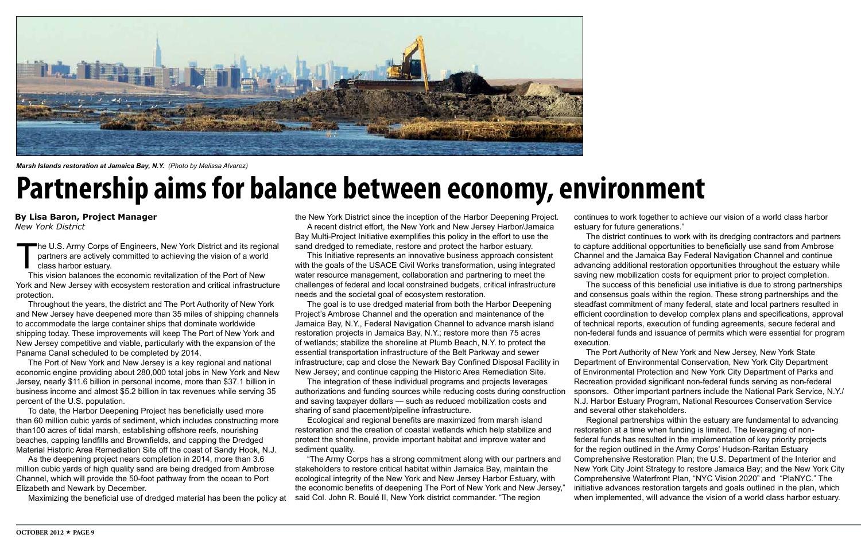The U.S. Army Corps of Engineers, New York District and its regional partners are actively committed to achieving the vision of a world class harbor estuary.

This vision balances the economic revitalization of the Port of New York and New Jersey with ecosystem restoration and critical infrastructure protection.

Throughout the years, the district and The Port Authority of New York and New Jersey have deepened more than 35 miles of shipping channels to accommodate the large container ships that dominate worldwide shipping today. These improvements will keep The Port of New York and New Jersey competitive and viable, particularly with the expansion of the Panama Canal scheduled to be completed by 2014.

The Port of New York and New Jersey is a key regional and national economic engine providing about 280,000 total jobs in New York and New Jersey, nearly \$11.6 billion in personal income, more than \$37.1 billion in business income and almost \$5.2 billion in tax revenues while serving 35 percent of the U.S. population.

To date, the Harbor Deepening Project has beneficially used more than 60 million cubic yards of sediment, which includes constructing more than100 acres of tidal marsh, establishing offshore reefs, nourishing beaches, capping landfills and Brownfields, and capping the Dredged Material Historic Area Remediation Site off the coast of Sandy Hook, N.J.

As the deepening project nears completion in 2014, more than 3.6 million cubic yards of high quality sand are being dredged from Ambrose Channel, which will provide the 50-foot pathway from the ocean to Port Elizabeth and Newark by December.

Maximizing the beneficial use of dredged material has been the policy at

the New York District since the inception of the Harbor Deepening Project. A recent district effort, the New York and New Jersey Harbor/Jamaica Bay Multi-Project Initiative exemplifies this policy in the effort to use the sand dredged to remediate, restore and protect the harbor estuary.

This Initiative represents an innovative business approach consistent with the goals of the USACE Civil Works transformation, using integrated water resource management, collaboration and partnering to meet the challenges of federal and local constrained budgets, critical infrastructure needs and the societal goal of ecosystem restoration.

The goal is to use dredged material from both the Harbor Deepening Project's Ambrose Channel and the operation and maintenance of the Jamaica Bay, N.Y., Federal Navigation Channel to advance marsh island restoration projects in Jamaica Bay, N.Y.; restore more than 75 acres of wetlands; stabilize the shoreline at Plumb Beach, N.Y. to protect the essential transportation infrastructure of the Belt Parkway and sewer infrastructure; cap and close the Newark Bay Confined Disposal Facility in New Jersey; and continue capping the Historic Area Remediation Site.

The integration of these individual programs and projects leverages authorizations and funding sources while reducing costs during construction and saving taxpayer dollars — such as reduced mobilization costs and sharing of sand placement/pipeline infrastructure.

Ecological and regional benefits are maximized from marsh island restoration and the creation of coastal wetlands which help stabilize and protect the shoreline, provide important habitat and improve water and sediment quality.

"The Army Corps has a strong commitment along with our partners and stakeholders to restore critical habitat within Jamaica Bay, maintain the ecological integrity of the New York and New Jersey Harbor Estuary, with the economic benefits of deepening The Port of New York and New Jersey," said Col. John R. Boulé II, New York district commander. "The region

continues to work together to achieve our vision of a world class harbor estuary for future generations."

The district continues to work with its dredging contractors and partners to capture additional opportunities to beneficially use sand from Ambrose Channel and the Jamaica Bay Federal Navigation Channel and continue advancing additional restoration opportunities throughout the estuary while saving new mobilization costs for equipment prior to project completion. The success of this beneficial use initiative is due to strong partnerships and consensus goals within the region. These strong partnerships and the steadfast commitment of many federal, state and local partners resulted in efficient coordination to develop complex plans and specifications, approval of technical reports, execution of funding agreements, secure federal and non-federal funds and issuance of permits which were essential for program

execution.

The Port Authority of New York and New Jersey, New York State Department of Environmental Conservation, New York City Department of Environmental Protection and New York City Department of Parks and Recreation provided significant non-federal funds serving as non-federal sponsors. Other important partners include the National Park Service, N.Y./ N.J. Harbor Estuary Program, National Resources Conservation Service and several other stakeholders.

Regional partnerships within the estuary are fundamental to advancing restoration at a time when funding is limited. The leveraging of nonfederal funds has resulted in the implementation of key priority projects for the region outlined in the Army Corps' Hudson-Raritan Estuary Comprehensive Restoration Plan; the U.S. Department of the Interior and New York City Joint Strategy to restore Jamaica Bay; and the New York City Comprehensive Waterfront Plan, "NYC Vision 2020" and "PlaNYC." The initiative advances restoration targets and goals outlined in the plan, which when implemented, will advance the vision of a world class harbor estuary.

### **Partnership aims for balance between economy, environment**

**By Lisa Baron, Project Manager** *New York District*



*Marsh Islands restoration at Jamaica Bay, N.Y. (Photo by Melissa Alvarez)*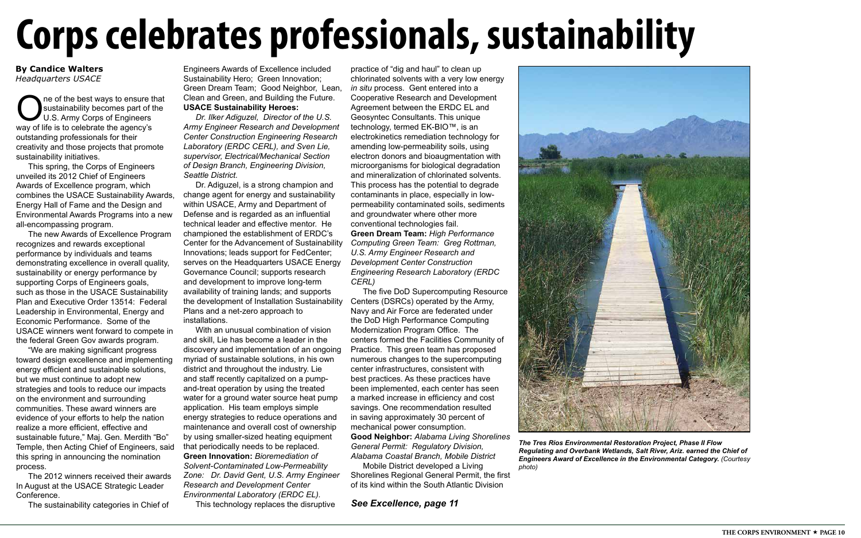## **Corps celebrates professionals, sustainability**

#### **By Candice Walters** *Headquarters USACE*

*See Excellence, page 11*



*The Tres Rios Environmental Restoration Project, Phase II Flow Regulating and Overbank Wetlands, Salt River, Ariz. earned the Chief of Engineers Award of Excellence in the Environmental Category. (Courtesy photo)*

One of the best ways to ensure that<br>Sustainability becomes part of the<br>U.S. Army Corps of Engineers<br>Way of life is to celebrate the agency's sustainability becomes part of the U.S. Army Corps of Engineers way of life is to celebrate the agency's outstanding professionals for their creativity and those projects that promote sustainability initiatives.

This spring, the Corps of Engineers unveiled its 2012 Chief of Engineers Awards of Excellence program, which combines the USACE Sustainability Awards, Energy Hall of Fame and the Design and Environmental Awards Programs into a new all-encompassing program.

The new Awards of Excellence Program recognizes and rewards exceptional performance by individuals and teams demonstrating excellence in overall quality, sustainability or energy performance by supporting Corps of Engineers goals, such as those in the USACE Sustainability Plan and Executive Order 13514: Federal Leadership in Environmental, Energy and Economic Performance. Some of the USACE winners went forward to compete in the federal Green Gov awards program.

"We are making significant progress toward design excellence and implementing energy efficient and sustainable solutions, but we must continue to adopt new strategies and tools to reduce our impacts on the environment and surrounding communities. These award winners are evidence of your efforts to help the nation realize a more efficient, effective and sustainable future," Maj. Gen. Merdith "Bo" Temple, then Acting Chief of Engineers, said this spring in announcing the nomination process.

The 2012 winners received their awards In August at the USACE Strategic Leader Conference.

The sustainability categories in Chief of

Engineers Awards of Excellence included Sustainability Hero; Green Innovation; Green Dream Team; Good Neighbor, Lean, Clean and Green, and Building the Future. **USACE Sustainability Heroes:**

*Dr. Ilker Adiguzel, Director of the U.S. Army Engineer Research and Development Center Construction Engineering Research Laboratory (ERDC CERL), and Sven Lie, supervisor, Electrical/Mechanical Section of Design Branch, Engineering Division, Seattle District.*

Dr. Adiguzel, is a strong champion and change agent for energy and sustainability within USACE, Army and Department of Defense and is regarded as an influential technical leader and effective mentor. He championed the establishment of ERDC's Center for the Advancement of Sustainability Innovations; leads support for FedCenter; serves on the Headquarters USACE Energy Governance Council; supports research and development to improve long-term availability of training lands; and supports the development of Installation Sustainability Plans and a net-zero approach to installations.

With an unusual combination of vision and skill, Lie has become a leader in the discovery and implementation of an ongoing myriad of sustainable solutions, in his own district and throughout the industry. Lie and staff recently capitalized on a pumpand-treat operation by using the treated water for a ground water source heat pump application. His team employs simple energy strategies to reduce operations and maintenance and overall cost of ownership by using smaller-sized heating equipment that periodically needs to be replaced. **Green Innovation:** *Bioremediation of Solvent-Contaminated Low-Permeability Zone: Dr. David Gent, U.S. Army Engineer Research and Development Center Environmental Laboratory (ERDC EL).*

This technology replaces the disruptive

practice of "dig and haul" to clean up chlorinated solvents with a very low energy *in situ* process. Gent entered into a Cooperative Research and Development Agreement between the ERDC EL and Geosyntec Consultants. This unique technology, termed EK-BIO™, is an electrokinetics remediation technology for amending low-permeability soils, using electron donors and bioaugmentation with microorganisms for biological degradation and mineralization of chlorinated solvents. This process has the potential to degrade contaminants in place, especially in lowpermeability contaminated soils, sediments and groundwater where other more conventional technologies fail. **Green Dream Team:** *High Performance Computing Green Team: Greg Rottman, U.S. Army Engineer Research and Development Center Construction Engineering Research Laboratory (ERDC CERL)*

The five DoD Supercomputing Resource Centers (DSRCs) operated by the Army, Navy and Air Force are federated under the DoD High Performance Computing Modernization Program Office. The centers formed the Facilities Community of Practice. This green team has proposed numerous changes to the supercomputing center infrastructures, consistent with best practices. As these practices have been implemented, each center has seen a marked increase in efficiency and cost savings. One recommendation resulted in saving approximately 30 percent of mechanical power consumption. **Good Neighbor:** *Alabama Living Shorelines General Permit: Regulatory Division, Alabama Coastal Branch, Mobile District*

Mobile District developed a Living Shorelines Regional General Permit, the first of its kind within the South Atlantic Division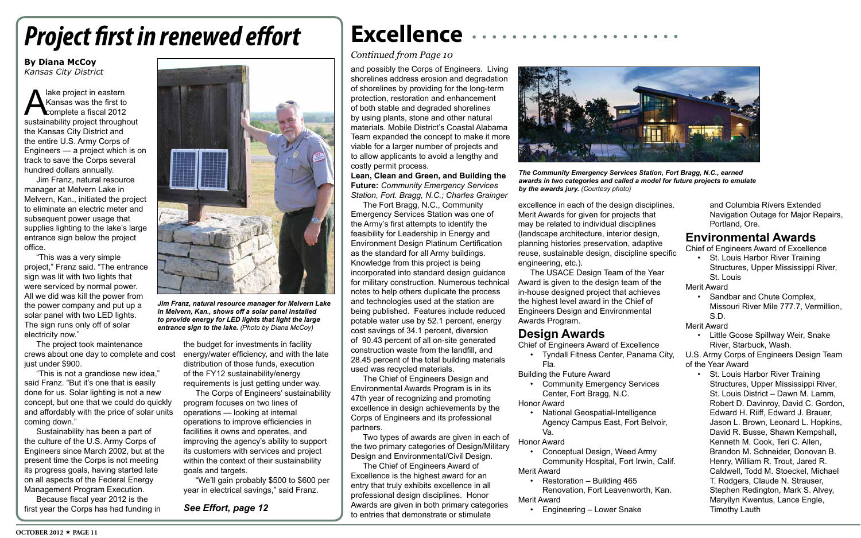### **Excellence**

#### *Continued from Page 10*

and possibly the Corps of Engineers. Living shorelines address erosion and degradation of shorelines by providing for the long-term protection, restoration and enhancement of both stable and degraded shorelines by using plants, stone and other natural materials. Mobile District's Coastal Alabama Team expanded the concept to make it more viable for a larger number of projects and to allow applicants to avoid a lengthy and costly permit process.

**Lean, Clean and Green, and Building the Future:** *Community Emergency Services Station, Fort. Bragg, N.C.; Charles Grainger* 

The Fort Bragg, N.C., Community Emergency Services Station was one of the Army's first attempts to identify the feasibility for Leadership in Energy and Environment Design Platinum Certification as the standard for all Army buildings. Knowledge from this project is being incorporated into standard design guidance for military construction. Numerous technical notes to help others duplicate the process and technologies used at the station are being published. Features include reduced potable water use by 52.1 percent, energy cost savings of 34.1 percent, diversion of 90.43 percent of all on-site generated construction waste from the landfill, and 28.45 percent of the total building materials used was recycled materials.

- Chief of Engineers Award of Excellence • Tyndall Fitness Center, Panama City,
- Fla. Building the Future Award
	- • Community Emergency Services Center, Fort Bragg, N.C.
- Honor Award
	- **National Geospatial-Intelligence** Va.
- Honor Award
- • Conceptual Design, Weed Army Merit Award
- 
- Restoration Building 465
- Merit Award
	- **Engineering Lower Snake**

The Chief of Engineers Design and Environmental Awards Program is in its 47th year of recognizing and promoting excellence in design achievements by the Corps of Engineers and its professional partners.

• St. Louis Harbor River Training Structures, Upper Mississippi River, St. Louis

Two types of awards are given in each of the two primary categories of Design/Military Design and Environmental/Civil Design.

The Chief of Engineers Award of Excellence is the highest award for an entry that truly exhibits excellence in all professional design disciplines. Honor Awards are given in both primary categories to entries that demonstrate or stimulate

excellence in each of the design disciplines. Merit Awards for given for projects that may be related to individual disciplines (landscape architecture, interior design, planning histories preservation, adaptive reuse, sustainable design, discipline specific engineering, etc.).

A lake project in eastern<br>
Kansas was the first to<br>
sustainability project throughout Kansas was the first to complete a fiscal 2012 the Kansas City District and the entire U.S. Army Corps of Engineers — a project which is on track to save the Corps several hundred dollars annually.

> The USACE Design Team of the Year Award is given to the design team of the in-house designed project that achieves the highest level award in the Chief of Engineers Design and Environmental Awards Program.

#### **Design Awards**

Agency Campus East, Fort Belvoir,

Community Hospital, Fort Irwin, Calif.

Renovation, Fort Leavenworth, Kan.

and Columbia Rivers Extended Navigation Outage for Major Repairs, Portland, Ore.

#### **Environmental Awards**

Chief of Engineers Award of Excellence

Merit Award

- • Sandbar and Chute Complex, Missouri River Mile 777.7, Vermillion, S.D.
- Merit Award
	- • Little Goose Spillway Weir, Snake River, Starbuck, Wash.
- U.S. Army Corps of Engineers Design Team of the Year Award
	- • St. Louis Harbor River Training Structures, Upper Mississippi River, St. Louis District – Dawn M. Lamm, Robert D. Davinroy, David C. Gordon, Edward H. Riiff, Edward J. Brauer, Jason L. Brown, Leonard L. Hopkins, David R. Busse, Shawn Kempshall, Kenneth M. Cook, Teri C. Allen, Brandon M. Schneider, Donovan B. Henry, William R. Trout, Jared R. Caldwell, Todd M. Stoeckel, Michael T. Rodgers, Claude N. Strauser, Stephen Redington, Mark S. Alvey, Maryilyn Kwentus, Lance Engle, Timothy Lauth



*The Community Emergency Services Station, Fort Bragg, N.C., earned awards in two categories and called a model for future projects to emulate by the awards jury. (Courtesy photo)*

### *Project first in renewed effort*

#### **By Diana McCoy** *Kansas City District*

Jim Franz, natural resource manager at Melvern Lake in Melvern, Kan., initiated the project to eliminate an electric meter and subsequent power usage that supplies lighting to the lake's large entrance sign below the project office.

"This was a very simple project," Franz said. "The entrance sign was lit with two lights that were serviced by normal power. All we did was kill the power from the power company and put up a solar panel with two LED lights. The sign runs only off of solar electricity now."

The project took maintenance crews about one day to complete and cost just under \$900.

"This is not a grandiose new idea," said Franz. "But it's one that is easily done for us. Solar lighting is not a new concept, but one that we could do quickly and affordably with the price of solar units coming down."

Sustainability has been a part of the culture of the U.S. Army Corps of Engineers since March 2002, but at the present time the Corps is not meeting its progress goals, having started late on all aspects of the Federal Energy Management Program Execution.

Because fiscal year 2012 is the first year the Corps has had funding in

the budget for investments in facility energy/water efficiency, and with the late distribution of those funds, execution of the FY12 sustainability/energy requirements is just getting under way.

The Corps of Engineers' sustainability program focuses on two lines of operations — looking at internal operations to improve efficiencies in facilities it owns and operates, and improving the agency's ability to support its customers with services and project within the context of their sustainability goals and targets.

"We'll gain probably \$500 to \$600 per year in electrical savings," said Franz.



*Jim Franz, natural resource manager for Melvern Lake in Melvern, Kan., shows off a solar panel installed to provide energy for LED lights that light the large entrance sign to the lake. (Photo by Diana McCoy)*

*See Effort, page 12*